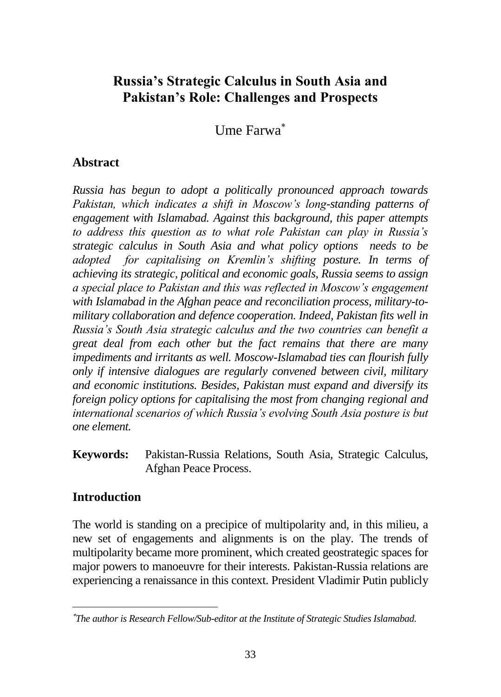# **Russia's Strategic Calculus in South Asia and Pakistan's Role: Challenges and Prospects**

Ume Farwa

### **Abstract**

*Russia has begun to adopt a politically pronounced approach towards Pakistan, which indicates a shift in Moscow's long-standing patterns of engagement with Islamabad. Against this background, this paper attempts to address this question as to what role Pakistan can play in Russia's strategic calculus in South Asia and what policy options needs to be adopted for capitalising on Kremlin's shifting posture. In terms of achieving its strategic, political and economic goals, Russia seems to assign a special place to Pakistan and this was reflected in Moscow's engagement with Islamabad in the Afghan peace and reconciliation process, military-tomilitary collaboration and defence cooperation. Indeed, Pakistan fits well in Russia's South Asia strategic calculus and the two countries can benefit a great deal from each other but the fact remains that there are many impediments and irritants as well. Moscow-Islamabad ties can flourish fully only if intensive dialogues are regularly convened between civil, military and economic institutions. Besides, Pakistan must expand and diversify its foreign policy options for capitalising the most from changing regional and international scenarios of which Russia's evolving South Asia posture is but one element.* 

**Keywords:** Pakistan-Russia Relations, South Asia, Strategic Calculus, Afghan Peace Process.

### **Introduction**

The world is standing on a precipice of multipolarity and, in this milieu, a new set of engagements and alignments is on the play. The trends of multipolarity became more prominent, which created geostrategic spaces for major powers to manoeuvre for their interests. Pakistan-Russia relations are experiencing a renaissance in this context. President Vladimir Putin publicly

*The author is Research Fellow/Sub-editor at the Institute of Strategic Studies Islamabad.*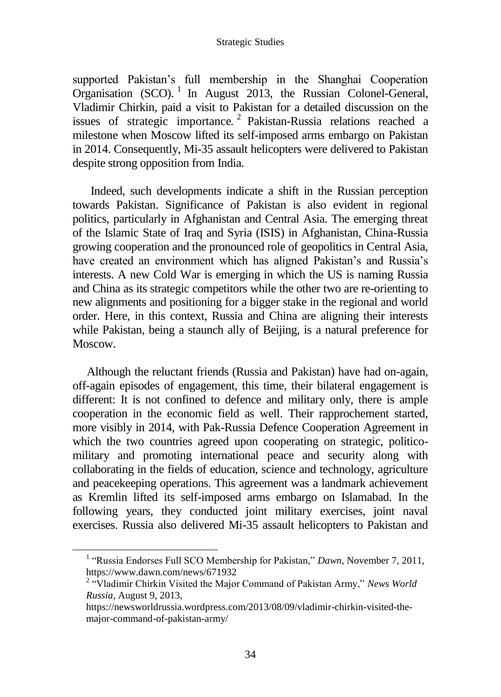#### Strategic Studies

supported Pakistan's full membership in the Shanghai Cooperation Organisation (SCO). <sup>1</sup> In August 2013, the Russian Colonel-General, Vladimir Chirkin, paid a visit to Pakistan for a detailed discussion on the issues of strategic importance.<sup>2</sup> Pakistan-Russia relations reached a milestone when Moscow lifted its self-imposed arms embargo on Pakistan in 2014. Consequently, Mi-35 assault helicopters were delivered to Pakistan despite strong opposition from India.

Indeed, such developments indicate a shift in the Russian perception towards Pakistan. Significance of Pakistan is also evident in regional politics, particularly in Afghanistan and Central Asia. The emerging threat of the Islamic State of Iraq and Syria (ISIS) in Afghanistan, China-Russia growing cooperation and the pronounced role of geopolitics in Central Asia, have created an environment which has aligned Pakistan's and Russia's interests. A new Cold War is emerging in which the US is naming Russia and China as its strategic competitors while the other two are re-orienting to new alignments and positioning for a bigger stake in the regional and world order. Here, in this context, Russia and China are aligning their interests while Pakistan, being a staunch ally of Beijing, is a natural preference for Moscow.

Although the reluctant friends (Russia and Pakistan) have had on-again, off-again episodes of engagement, this time, their bilateral engagement is different: It is not confined to defence and military only, there is ample cooperation in the economic field as well. Their rapprochement started, more visibly in 2014, with Pak-Russia Defence Cooperation Agreement in which the two countries agreed upon cooperating on strategic, politicomilitary and promoting international peace and security along with collaborating in the fields of education, science and technology, agriculture and peacekeeping operations. This agreement was a landmark achievement as Kremlin lifted its self-imposed arms embargo on Islamabad. In the following years, they conducted joint military exercises, joint naval exercises. Russia also delivered Mi-35 assault helicopters to Pakistan and

<sup>&</sup>lt;sup>1</sup> "Russia Endorses Full SCO Membership for Pakistan," *Dawn*, November 7, 2011, <https://www.dawn.com/news/671932>

<sup>&</sup>lt;sup>2</sup> "Vladimir Chirkin Visited the Major Command of Pakistan Army," *News World Russia*, August 9, 2013,

[https://newsworldrussia.wordpress.com/2013/08/09/vladimir-chirkin-visited-the](https://newsworldrussia.wordpress.com/2013/08/09/vladimir-chirkin-visited-the-major-command-of-pakistan-army/)[major-command-of-pakistan-army/](https://newsworldrussia.wordpress.com/2013/08/09/vladimir-chirkin-visited-the-major-command-of-pakistan-army/)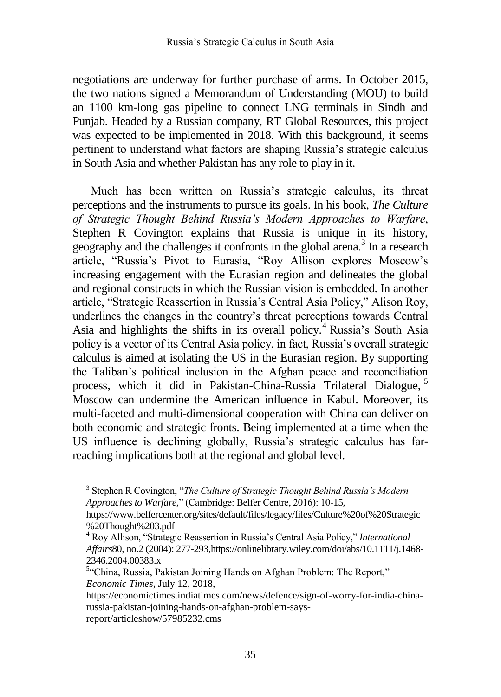negotiations are underway for further purchase of arms. In October 2015, the two nations signed a Memorandum of Understanding (MOU) to build an 1100 km-long gas pipeline to connect LNG terminals in Sindh and Punjab. Headed by a Russian company, RT Global Resources, this project was expected to be implemented in 2018. With this background, it seems pertinent to understand what factors are shaping Russia's strategic calculus in South Asia and whether Pakistan has any role to play in it.

Much has been written on Russia's strategic calculus, its threat perceptions and the instruments to pursue its goals. In his book, *The Culture of Strategic Thought Behind Russia's Modern Approaches to Warfare*, Stephen R Covington explains that Russia is unique in its history, geography and the challenges it confronts in the global arena. $3$  In a research article, "Russia's Pivot to Eurasia, "Roy Allison explores Moscow's increasing engagement with the Eurasian region and delineates the global and regional constructs in which the Russian vision is embedded. In another article, "Strategic Reassertion in Russia's Central Asia Policy," Alison Roy, underlines the changes in the country's threat perceptions towards Central Asia and highlights the shifts in its overall policy.<sup>4</sup> Russia's South Asia policy is a vector of its Central Asia policy, in fact, Russia's overall strategic calculus is aimed at isolating the US in the Eurasian region. By supporting the Taliban's political inclusion in the Afghan peace and reconciliation process, which it did in Pakistan-China-Russia Trilateral Dialogue, <sup>5</sup> Moscow can undermine the American influence in Kabul. Moreover, its multi-faceted and multi-dimensional cooperation with China can deliver on both economic and strategic fronts. Being implemented at a time when the US influence is declining globally, Russia's strategic calculus has farreaching implications both at the regional and global level.

<sup>3</sup> Stephen R Covington, "*The Culture of Strategic Thought Behind Russia's Modern Approaches to Warfare,*" (Cambridge: Belfer Centre, 2016): 10-15,

[https://www.belfercenter.org/sites/default/files/legacy/files/Culture%20of%20Strategic](https://www.belfercenter.org/sites/default/files/legacy/files/Culture%20of%20Strategic%20Thought%203.pdf) [%20Thought%203.pdf](https://www.belfercenter.org/sites/default/files/legacy/files/Culture%20of%20Strategic%20Thought%203.pdf)

<sup>4</sup> Roy Allison, "Strategic Reassertion in Russia's Central Asia Policy," *International Affairs*80, no.2 (2004): 277-293[,https://onlinelibrary.wiley.com/doi/abs/10.1111/j.1468-](https://onlinelibrary.wiley.com/doi/abs/10.1111/j.1468-2346.2004.00383.x) [2346.2004.00383.x](https://onlinelibrary.wiley.com/doi/abs/10.1111/j.1468-2346.2004.00383.x)

<sup>&</sup>lt;sup>5</sup>"China, Russia, Pakistan Joining Hands on Afghan Problem: The Report," *Economic Times*, July 12, 2018,

[https://economictimes.indiatimes.com/news/defence/sign-of-worry-for-india-china](https://economictimes.indiatimes.com/news/defence/sign-of-worry-for-india-china-russia-pakistan-joining-hands-on-afghan-problem-says-report/articleshow/57985232.cms)[russia-pakistan-joining-hands-on-afghan-problem-says](https://economictimes.indiatimes.com/news/defence/sign-of-worry-for-india-china-russia-pakistan-joining-hands-on-afghan-problem-says-report/articleshow/57985232.cms)[report/articleshow/57985232.cms](https://economictimes.indiatimes.com/news/defence/sign-of-worry-for-india-china-russia-pakistan-joining-hands-on-afghan-problem-says-report/articleshow/57985232.cms)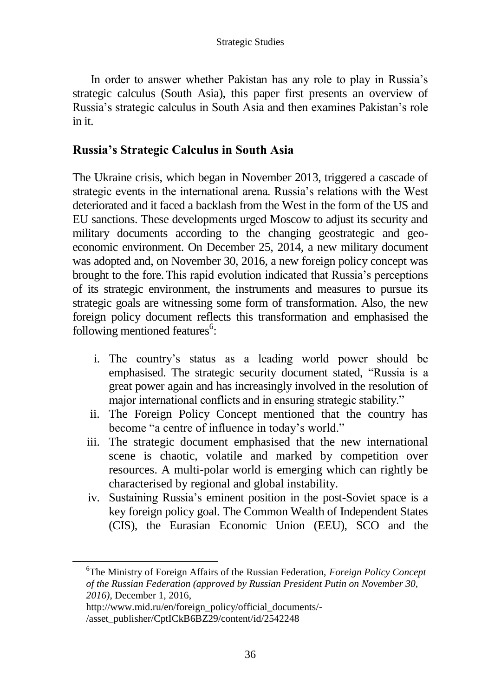In order to answer whether Pakistan has any role to play in Russia's strategic calculus (South Asia), this paper first presents an overview of Russia's strategic calculus in South Asia and then examines Pakistan's role in it.

## **Russia's Strategic Calculus in South Asia**

The Ukraine crisis, which began in November 2013, triggered a cascade of strategic events in the international arena. Russia's relations with the West deteriorated and it faced a backlash from the West in the form of the US and EU sanctions. These developments urged Moscow to adjust its security and military documents according to the changing geostrategic and geoeconomic environment. On December 25, 2014, a new military document was adopted and, on November 30, 2016, a new foreign policy concept was brought to the fore.This rapid evolution indicated that Russia's perceptions of its strategic environment, the instruments and measures to pursue its strategic goals are witnessing some form of transformation. Also, the new foreign policy document reflects this transformation and emphasised the following mentioned features<sup>6</sup>:

- i. The country's status as a leading world power should be emphasised. The strategic security document stated, "Russia is a great power again and has increasingly involved in the resolution of major international conflicts and in ensuring strategic stability."
- ii. The Foreign Policy Concept mentioned that the country has become "a centre of influence in today's world."
- iii. The strategic document emphasised that the new international scene is chaotic, volatile and marked by competition over resources. A multi-polar world is emerging which can rightly be characterised by regional and global instability.
- iv. Sustaining Russia's eminent position in the post-Soviet space is a key foreign policy goal. The Common Wealth of Independent States (CIS), the Eurasian Economic Union (EEU), SCO and the

 $\overline{a}$ 

<sup>6</sup>The Ministry of Foreign Affairs of the Russian Federation, *Foreign Policy Concept of the Russian Federation (approved by Russian President Putin on November 30, 2016)*, December 1, 2016,

[http://www.mid.ru/en/foreign\\_policy/official\\_documents/-](http://www.mid.ru/en/foreign_policy/official_documents/-/asset_publisher/CptICkB6BZ29/content/id/2542248)

[<sup>/</sup>asset\\_publisher/CptICkB6BZ29/content/id/2542248](http://www.mid.ru/en/foreign_policy/official_documents/-/asset_publisher/CptICkB6BZ29/content/id/2542248)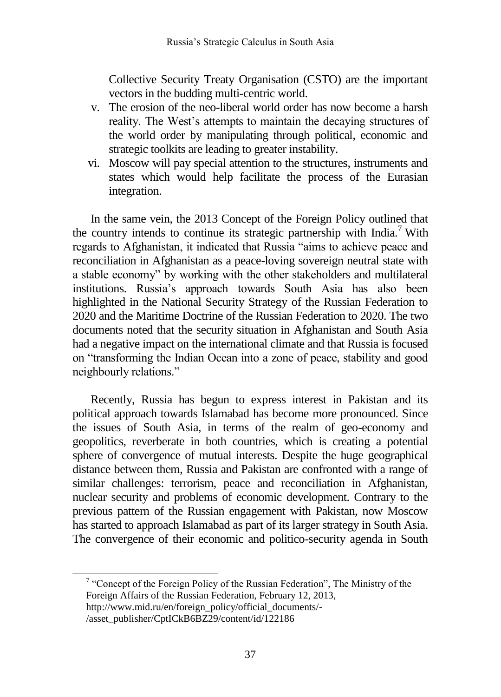Collective Security Treaty Organisation (CSTO) are the important vectors in the budding multi-centric world.

- v. The erosion of the neo-liberal world order has now become a harsh reality. The West's attempts to maintain the decaying structures of the world order by manipulating through political, economic and strategic toolkits are leading to greater instability.
- vi. Moscow will pay special attention to the structures, instruments and states which would help facilitate the process of the Eurasian integration.

In the same vein, the 2013 Concept of the Foreign Policy outlined that the country intends to continue its strategic partnership with  $\text{India.}^7$  With regards to Afghanistan, it indicated that Russia "aims to achieve peace and reconciliation in Afghanistan as a peace-loving sovereign neutral state with a stable economy" by working with the other stakeholders and multilateral institutions. Russia's approach towards South Asia has also been highlighted in the National Security Strategy of the Russian Federation to 2020 and the Maritime Doctrine of the Russian Federation to 2020. The two documents noted that the security situation in Afghanistan and South Asia had a negative impact on the international climate and that Russia is focused on "transforming the Indian Ocean into a zone of peace, stability and good neighbourly relations."

Recently, Russia has begun to express interest in Pakistan and its political approach towards Islamabad has become more pronounced. Since the issues of South Asia, in terms of the realm of geo-economy and geopolitics, reverberate in both countries, which is creating a potential sphere of convergence of mutual interests. Despite the huge geographical distance between them, Russia and Pakistan are confronted with a range of similar challenges: terrorism, peace and reconciliation in Afghanistan, nuclear security and problems of economic development. Contrary to the previous pattern of the Russian engagement with Pakistan, now Moscow has started to approach Islamabad as part of its larger strategy in South Asia. The convergence of their economic and politico-security agenda in South

 $7$  "Concept of the Foreign Policy of the Russian Federation", The Ministry of the Foreign Affairs of the Russian Federation, February 12, 2013, [http://www.mid.ru/en/foreign\\_policy/official\\_documents/-](http://www.mid.ru/en/foreign_policy/official_documents/-/asset_publisher/CptICkB6BZ29/content/id/122186) [/asset\\_publisher/CptICkB6BZ29/content/id/122186](http://www.mid.ru/en/foreign_policy/official_documents/-/asset_publisher/CptICkB6BZ29/content/id/122186)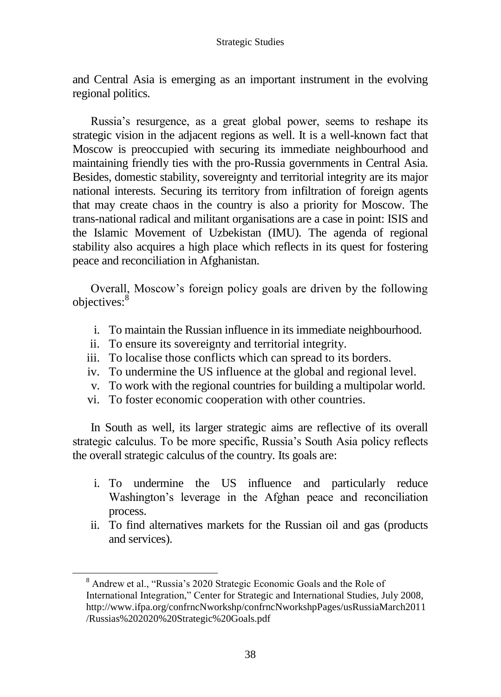and Central Asia is emerging as an important instrument in the evolving regional politics.

Russia's resurgence, as a great global power, seems to reshape its strategic vision in the adjacent regions as well. It is a well-known fact that Moscow is preoccupied with securing its immediate neighbourhood and maintaining friendly ties with the pro-Russia governments in Central Asia. Besides, domestic stability, sovereignty and territorial integrity are its major national interests. Securing its territory from infiltration of foreign agents that may create chaos in the country is also a priority for Moscow. The trans-national radical and militant organisations are a case in point: ISIS and the Islamic Movement of Uzbekistan (IMU). The agenda of regional stability also acquires a high place which reflects in its quest for fostering peace and reconciliation in Afghanistan.

Overall, Moscow's foreign policy goals are driven by the following objectives:<sup>8</sup>

- i. To maintain the Russian influence in its immediate neighbourhood.
- ii. To ensure its sovereignty and territorial integrity.
- iii. To localise those conflicts which can spread to its borders.
- iv. To undermine the US influence at the global and regional level.
- v. To work with the regional countries for building a multipolar world.
- vi. To foster economic cooperation with other countries.

In South as well, its larger strategic aims are reflective of its overall strategic calculus. To be more specific, Russia's South Asia policy reflects the overall strategic calculus of the country. Its goals are:

- i. To undermine the US influence and particularly reduce Washington's leverage in the Afghan peace and reconciliation process.
- ii. To find alternatives markets for the Russian oil and gas (products and services).

<sup>8</sup> Andrew et al., "Russia's 2020 Strategic Economic Goals and the Role of International Integration," Center for Strategic and International Studies, July 2008, [http://www.ifpa.org/confrncNworkshp/confrncNworkshpPages/usRussiaMarch2011](http://www.ifpa.org/confrncNworkshp/confrncNworkshpPages/usRussiaMarch2011/Russias%202020%20Strategic%20Goals.pdf) [/Russias%202020%20Strategic%20Goals.pdf](http://www.ifpa.org/confrncNworkshp/confrncNworkshpPages/usRussiaMarch2011/Russias%202020%20Strategic%20Goals.pdf)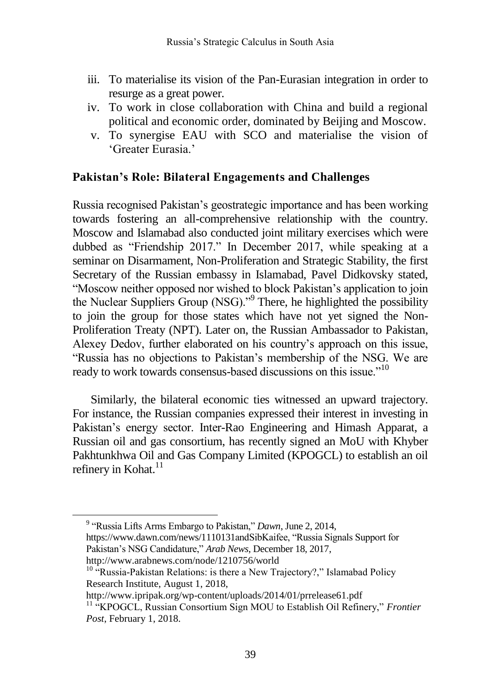- iii. To materialise its vision of the Pan-Eurasian integration in order to resurge as a great power.
- iv. To work in close collaboration with China and build a regional political and economic order, dominated by Beijing and Moscow.
- v. To synergise EAU with SCO and materialise the vision of 'Greater Eurasia.'

#### **Pakistan's Role: Bilateral Engagements and Challenges**

Russia recognised Pakistan's geostrategic importance and has been working towards fostering an all-comprehensive relationship with the country. Moscow and Islamabad also conducted joint military exercises which were dubbed as "Friendship 2017." In December 2017, while speaking at a seminar on Disarmament, Non-Proliferation and Strategic Stability, the first Secretary of the Russian embassy in Islamabad, Pavel Didkovsky stated, "Moscow neither opposed nor wished to block Pakistan's application to join the Nuclear Suppliers Group (NSG)."<sup>9</sup> There, he highlighted the possibility to join the group for those states which have not yet signed the Non-Proliferation Treaty (NPT). Later on, the Russian Ambassador to Pakistan, Alexey Dedov, further elaborated on his country's approach on this issue, "Russia has no objections to Pakistan's membership of the NSG. We are ready to work towards consensus-based discussions on this issue."<sup>10</sup>

Similarly, the bilateral economic ties witnessed an upward trajectory. For instance, the Russian companies expressed their interest in investing in Pakistan's energy sector. Inter-Rao Engineering and Himash Apparat, a Russian oil and gas consortium, has recently signed an MoU with Khyber Pakhtunkhwa Oil and Gas Company Limited (KPOGCL) to establish an oil refinery in Kohat. $11$ 

http://www.ipripak.org/wp-content/uploads/2014/01/prrelease61.pdf

<sup>9</sup> "Russia Lifts Arms Embargo to Pakistan," *Dawn*, June 2, 2014,

[https://www.dawn.com/news/1110131a](https://www.dawn.com/news/1110131)ndSibKaifee, "Russia Signals Support for Pakistan's NSG Candidature," *Arab News*, December 18, 2017,

<http://www.arabnews.com/node/1210756/world>

 $10$  "Russia-Pakistan Relations: is there a New Trajectory?," Islamabad Policy Research Institute, August 1, 2018,

<sup>&</sup>lt;sup>11</sup> "KPOGCL, Russian Consortium Sign MOU to Establish Oil Refinery," *Frontier Post*, February 1, 2018.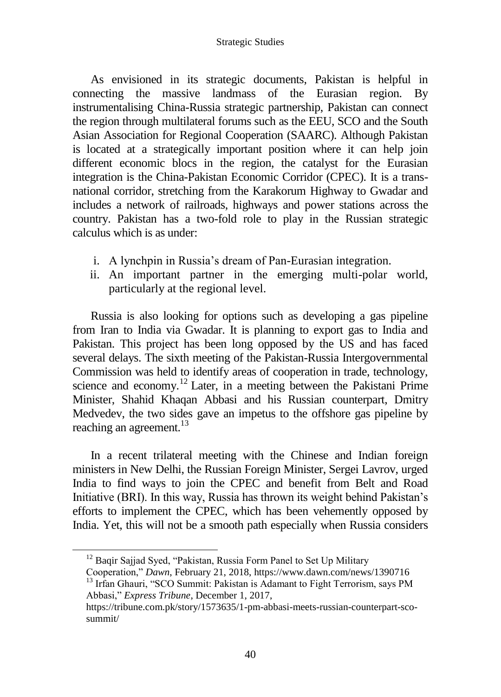As envisioned in its strategic documents, Pakistan is helpful in connecting the massive landmass of the Eurasian region. By instrumentalising China-Russia strategic partnership, Pakistan can connect the region through multilateral forums such as the EEU, SCO and the South Asian Association for Regional Cooperation (SAARC). Although Pakistan is located at a strategically important position where it can help join different economic blocs in the region, the catalyst for the Eurasian integration is the China-Pakistan Economic Corridor (CPEC). It is a transnational corridor, stretching from the Karakorum Highway to Gwadar and includes a network of railroads, highways and power stations across the country. Pakistan has a two-fold role to play in the Russian strategic calculus which is as under:

- i. A lynchpin in Russia's dream of Pan-Eurasian integration.
- ii. An important partner in the emerging multi-polar world, particularly at the regional level.

Russia is also looking for options such as developing a gas pipeline from Iran to India via Gwadar. It is planning to export gas to India and Pakistan. This project has been long opposed by the US and has faced several delays. The sixth meeting of the Pakistan-Russia Intergovernmental Commission was held to identify areas of cooperation in trade, technology, science and economy.<sup>12</sup> Later, in a meeting between the Pakistani Prime Minister, Shahid Khaqan Abbasi and his Russian counterpart, Dmitry Medvedev, the two sides gave an impetus to the offshore gas pipeline by reaching an agreement.<sup>13</sup>

In a recent trilateral meeting with the Chinese and Indian foreign ministers in New Delhi, the Russian Foreign Minister, Sergei Lavrov, urged India to find ways to join the CPEC and benefit from Belt and Road Initiative (BRI). In this way, Russia has thrown its weight behind Pakistan's efforts to implement the CPEC, which has been vehemently opposed by India. Yet, this will not be a smooth path especially when Russia considers

 $12$  Baqir Sajjad Syed, "Pakistan, Russia Form Panel to Set Up Military

Cooperation," *Dawn*, February 21, 2018,<https://www.dawn.com/news/1390716>

<sup>&</sup>lt;sup>13</sup> Irfan Ghauri, "SCO Summit: Pakistan is Adamant to Fight Terrorism, says PM Abbasi," *Express Tribune*, December 1, 2017,

[https://tribune.com.pk/story/1573635/1-pm-abbasi-meets-russian-counterpart-sco](https://tribune.com.pk/story/1573635/1-pm-abbasi-meets-russian-counterpart-sco-summit/)[summit/](https://tribune.com.pk/story/1573635/1-pm-abbasi-meets-russian-counterpart-sco-summit/)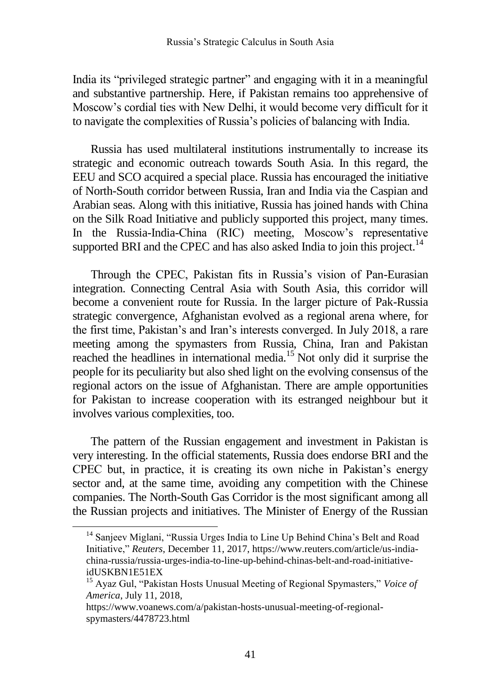India its "privileged strategic partner" and engaging with it in a meaningful and substantive partnership. Here, if Pakistan remains too apprehensive of Moscow's cordial ties with New Delhi, it would become very difficult for it to navigate the complexities of Russia's policies of balancing with India.

Russia has used multilateral institutions instrumentally to increase its strategic and economic outreach towards South Asia. In this regard, the EEU and SCO acquired a special place. Russia has encouraged the initiative of North-South corridor between Russia, Iran and India via the Caspian and Arabian seas. Along with this initiative, Russia has joined hands with China on the Silk Road Initiative and publicly supported this project, many times. In the Russia-India-China (RIC) meeting, Moscow's representative supported BRI and the CPEC and has also asked India to join this project.<sup>14</sup>

Through the CPEC, Pakistan fits in Russia's vision of Pan-Eurasian integration. Connecting Central Asia with South Asia, this corridor will become a convenient route for Russia. In the larger picture of Pak-Russia strategic convergence, Afghanistan evolved as a regional arena where, for the first time, Pakistan's and Iran's interests converged. In July 2018, a rare meeting among the spymasters from Russia, China, Iran and Pakistan reached the headlines in international media.<sup>15</sup> Not only did it surprise the people for its peculiarity but also shed light on the evolving consensus of the regional actors on the issue of Afghanistan. There are ample opportunities for Pakistan to increase cooperation with its estranged neighbour but it involves various complexities, too.

The pattern of the Russian engagement and investment in Pakistan is very interesting. In the official statements, Russia does endorse BRI and the CPEC but, in practice, it is creating its own niche in Pakistan's energy sector and, at the same time, avoiding any competition with the Chinese companies. The North-South Gas Corridor is the most significant among all the Russian projects and initiatives. The Minister of Energy of the Russian

 $\overline{a}$ 

<sup>&</sup>lt;sup>14</sup> Sanjeev Miglani, "Russia Urges India to Line Up Behind China's Belt and Road Initiative," *Reuters*, December 11, 2017, [https://www.reuters.com/article/us-india](https://www.reuters.com/article/us-india-china-russia/russia-urges-india-to-line-up-behind-chinas-belt-and-road-initiative-idUSKBN1E51EX)[china-russia/russia-urges-india-to-line-up-behind-chinas-belt-and-road-initiative](https://www.reuters.com/article/us-india-china-russia/russia-urges-india-to-line-up-behind-chinas-belt-and-road-initiative-idUSKBN1E51EX)[idUSKBN1E51EX](https://www.reuters.com/article/us-india-china-russia/russia-urges-india-to-line-up-behind-chinas-belt-and-road-initiative-idUSKBN1E51EX)

<sup>15</sup> Ayaz Gul, "Pakistan Hosts Unusual Meeting of Regional Spymasters," *Voice of America*, July 11, 2018,

[https://www.voanews.com/a/pakistan-hosts-unusual-meeting-of-regional](https://www.voanews.com/a/pakistan-hosts-unusual-meeting-of-regional-spymasters/4478723.html)[spymasters/4478723.html](https://www.voanews.com/a/pakistan-hosts-unusual-meeting-of-regional-spymasters/4478723.html)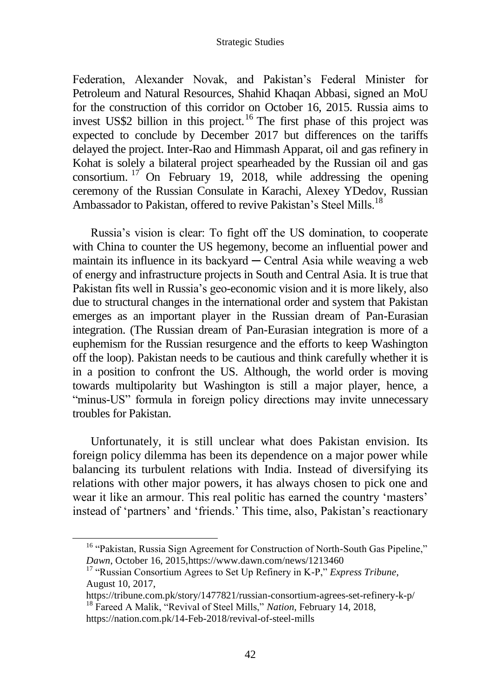#### Strategic Studies

Federation, Alexander Novak, and Pakistan's Federal Minister for Petroleum and Natural Resources, Shahid Khaqan Abbasi, signed an MoU for the construction of this corridor on October 16, 2015. Russia aims to invest US\$2 billion in this project.<sup>16</sup> The first phase of this project was expected to conclude by December 2017 but differences on the tariffs delayed the project. Inter-Rao and Himmash Apparat, oil and gas refinery in Kohat is solely a bilateral project spearheaded by the Russian oil and gas consortium. <sup>17</sup> On February 19, 2018, while addressing the opening ceremony of the Russian Consulate in Karachi, Alexey YDedov, Russian Ambassador to Pakistan, offered to revive Pakistan's Steel Mills.<sup>18</sup>

Russia's vision is clear: To fight off the US domination, to cooperate with China to counter the US hegemony, become an influential power and maintain its influence in its backyard  $-$  Central Asia while weaving a web of energy and infrastructure projects in South and Central Asia. It is true that Pakistan fits well in Russia's geo-economic vision and it is more likely, also due to structural changes in the international order and system that Pakistan emerges as an important player in the Russian dream of Pan-Eurasian integration. (The Russian dream of Pan-Eurasian integration is more of a euphemism for the Russian resurgence and the efforts to keep Washington off the loop). Pakistan needs to be cautious and think carefully whether it is in a position to confront the US. Although, the world order is moving towards multipolarity but Washington is still a major player, hence, a "minus-US" formula in foreign policy directions may invite unnecessary troubles for Pakistan.

Unfortunately, it is still unclear what does Pakistan envision. Its foreign policy dilemma has been its dependence on a major power while balancing its turbulent relations with India. Instead of diversifying its relations with other major powers, it has always chosen to pick one and wear it like an armour. This real politic has earned the country 'masters' instead of 'partners' and 'friends.' This time, also, Pakistan's reactionary

<sup>&</sup>lt;sup>16</sup> "Pakistan, Russia Sign Agreement for Construction of North-South Gas Pipeline," *Dawn*, October 16, 201[5,https://www.dawn.com/news/1213460](https://www.dawn.com/news/1213460)

<sup>17</sup> "Russian Consortium Agrees to Set Up Refinery in K-P," *Express Tribune*, August 10, 2017,

<https://tribune.com.pk/story/1477821/russian-consortium-agrees-set-refinery-k-p/> <sup>18</sup> Fareed A Malik, "Revival of Steel Mills," *Nation*, February 14, 2018,

<https://nation.com.pk/14-Feb-2018/revival-of-steel-mills>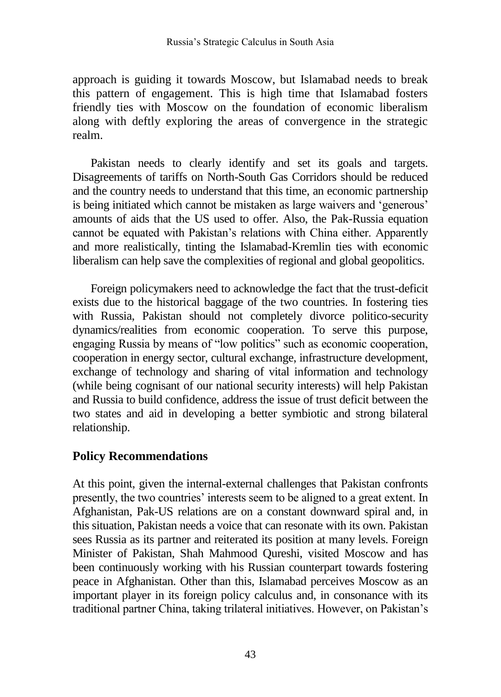approach is guiding it towards Moscow, but Islamabad needs to break this pattern of engagement. This is high time that Islamabad fosters friendly ties with Moscow on the foundation of economic liberalism along with deftly exploring the areas of convergence in the strategic realm.

Pakistan needs to clearly identify and set its goals and targets. Disagreements of tariffs on North-South Gas Corridors should be reduced and the country needs to understand that this time, an economic partnership is being initiated which cannot be mistaken as large waivers and 'generous' amounts of aids that the US used to offer. Also, the Pak-Russia equation cannot be equated with Pakistan's relations with China either. Apparently and more realistically, tinting the Islamabad-Kremlin ties with economic liberalism can help save the complexities of regional and global geopolitics.

Foreign policymakers need to acknowledge the fact that the trust-deficit exists due to the historical baggage of the two countries. In fostering ties with Russia, Pakistan should not completely divorce politico-security dynamics/realities from economic cooperation. To serve this purpose, engaging Russia by means of "low politics" such as economic cooperation, cooperation in energy sector, cultural exchange, infrastructure development, exchange of technology and sharing of vital information and technology (while being cognisant of our national security interests) will help Pakistan and Russia to build confidence, address the issue of trust deficit between the two states and aid in developing a better symbiotic and strong bilateral relationship.

### **Policy Recommendations**

At this point, given the internal-external challenges that Pakistan confronts presently, the two countries' interests seem to be aligned to a great extent. In Afghanistan, Pak-US relations are on a constant downward spiral and, in this situation, Pakistan needs a voice that can resonate with its own. Pakistan sees Russia as its partner and reiterated its position at many levels. Foreign Minister of Pakistan, Shah Mahmood Qureshi, visited Moscow and has been continuously working with his Russian counterpart towards fostering peace in Afghanistan. Other than this, Islamabad perceives Moscow as an important player in its foreign policy calculus and, in consonance with its traditional partner China, taking trilateral initiatives. However, on Pakistan's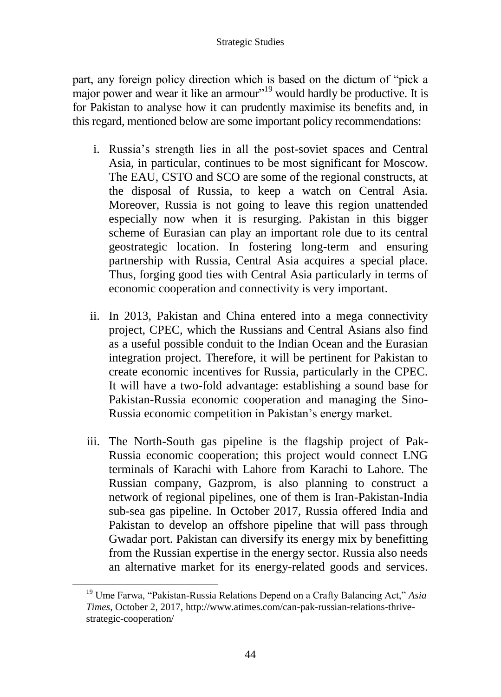#### Strategic Studies

part, any foreign policy direction which is based on the dictum of "pick a major power and wear it like an armour"<sup>19</sup> would hardly be productive. It is for Pakistan to analyse how it can prudently maximise its benefits and, in this regard, mentioned below are some important policy recommendations:

- i. Russia's strength lies in all the post-soviet spaces and Central Asia, in particular, continues to be most significant for Moscow. The EAU, CSTO and SCO are some of the regional constructs, at the disposal of Russia, to keep a watch on Central Asia. Moreover, Russia is not going to leave this region unattended especially now when it is resurging. Pakistan in this bigger scheme of Eurasian can play an important role due to its central geostrategic location. In fostering long-term and ensuring partnership with Russia, Central Asia acquires a special place. Thus, forging good ties with Central Asia particularly in terms of economic cooperation and connectivity is very important.
- ii. In 2013, Pakistan and China entered into a mega connectivity project, CPEC, which the Russians and Central Asians also find as a useful possible conduit to the Indian Ocean and the Eurasian integration project. Therefore, it will be pertinent for Pakistan to create economic incentives for Russia, particularly in the CPEC. It will have a two-fold advantage: establishing a sound base for Pakistan-Russia economic cooperation and managing the Sino-Russia economic competition in Pakistan's energy market.
- iii. The North-South gas pipeline is the flagship project of Pak-Russia economic cooperation; this project would connect LNG terminals of Karachi with Lahore from Karachi to Lahore. The Russian company, Gazprom, is also planning to construct a network of regional pipelines, one of them is Iran-Pakistan-India sub-sea gas pipeline. In October 2017, Russia offered India and Pakistan to develop an offshore pipeline that will pass through Gwadar port. Pakistan can diversify its energy mix by benefitting from the Russian expertise in the energy sector. Russia also needs an alternative market for its energy-related goods and services.

<sup>19</sup> Ume Farwa, "Pakistan-Russia Relations Depend on a Crafty Balancing Act," *Asia Times*, October 2, 2017, [http://www.atimes.com/can-pak-russian-relations-thrive](http://www.atimes.com/can-pak-russian-relations-thrive-strategic-cooperation/)[strategic-cooperation/](http://www.atimes.com/can-pak-russian-relations-thrive-strategic-cooperation/)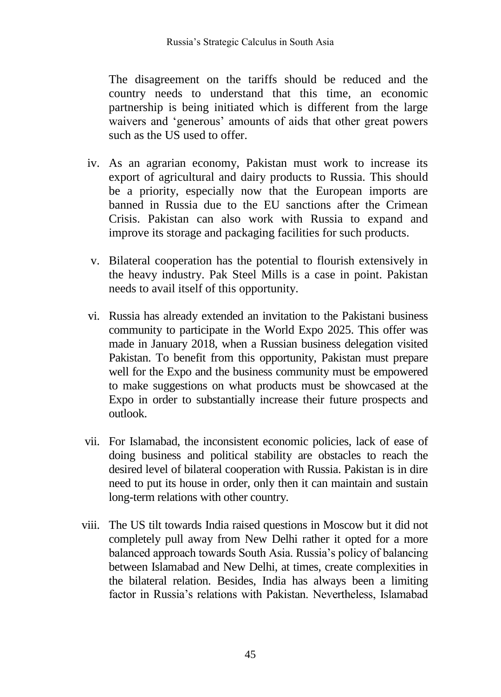The disagreement on the tariffs should be reduced and the country needs to understand that this time, an economic partnership is being initiated which is different from the large waivers and 'generous' amounts of aids that other great powers such as the US used to offer.

- iv. As an agrarian economy, Pakistan must work to increase its export of agricultural and dairy products to Russia. This should be a priority, especially now that the European imports are banned in Russia due to the EU sanctions after the Crimean Crisis. Pakistan can also work with Russia to expand and improve its storage and packaging facilities for such products.
- v. Bilateral cooperation has the potential to flourish extensively in the heavy industry. Pak Steel Mills is a case in point. Pakistan needs to avail itself of this opportunity.
- vi. Russia has already extended an invitation to the Pakistani business community to participate in the World Expo 2025. This offer was made in January 2018, when a Russian business delegation visited Pakistan. To benefit from this opportunity, Pakistan must prepare well for the Expo and the business community must be empowered to make suggestions on what products must be showcased at the Expo in order to substantially increase their future prospects and outlook.
- vii. For Islamabad, the inconsistent economic policies, lack of ease of doing business and political stability are obstacles to reach the desired level of bilateral cooperation with Russia. Pakistan is in dire need to put its house in order, only then it can maintain and sustain long-term relations with other country.
- viii. The US tilt towards India raised questions in Moscow but it did not completely pull away from New Delhi rather it opted for a more balanced approach towards South Asia. Russia's policy of balancing between Islamabad and New Delhi, at times, create complexities in the bilateral relation. Besides, India has always been a limiting factor in Russia's relations with Pakistan. Nevertheless, Islamabad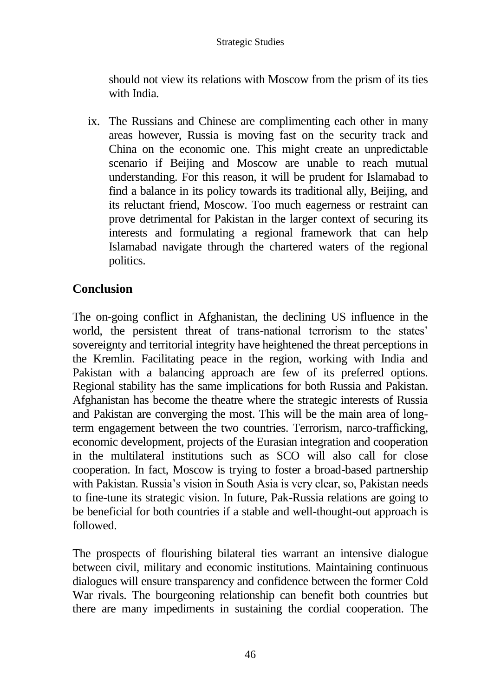should not view its relations with Moscow from the prism of its ties with India.

ix. The Russians and Chinese are complimenting each other in many areas however, Russia is moving fast on the security track and China on the economic one. This might create an unpredictable scenario if Beijing and Moscow are unable to reach mutual understanding. For this reason, it will be prudent for Islamabad to find a balance in its policy towards its traditional ally, Beijing, and its reluctant friend, Moscow. Too much eagerness or restraint can prove detrimental for Pakistan in the larger context of securing its interests and formulating a regional framework that can help Islamabad navigate through the chartered waters of the regional politics.

# **Conclusion**

The on-going conflict in Afghanistan, the declining US influence in the world, the persistent threat of trans-national terrorism to the states' sovereignty and territorial integrity have heightened the threat perceptions in the Kremlin. Facilitating peace in the region, working with India and Pakistan with a balancing approach are few of its preferred options. Regional stability has the same implications for both Russia and Pakistan. Afghanistan has become the theatre where the strategic interests of Russia and Pakistan are converging the most. This will be the main area of longterm engagement between the two countries. Terrorism, narco-trafficking, economic development, projects of the Eurasian integration and cooperation in the multilateral institutions such as SCO will also call for close cooperation. In fact, Moscow is trying to foster a broad-based partnership with Pakistan. Russia's vision in South Asia is very clear, so, Pakistan needs to fine-tune its strategic vision. In future, Pak-Russia relations are going to be beneficial for both countries if a stable and well-thought-out approach is followed.

The prospects of flourishing bilateral ties warrant an intensive dialogue between civil, military and economic institutions. Maintaining continuous dialogues will ensure transparency and confidence between the former Cold War rivals. The bourgeoning relationship can benefit both countries but there are many impediments in sustaining the cordial cooperation. The